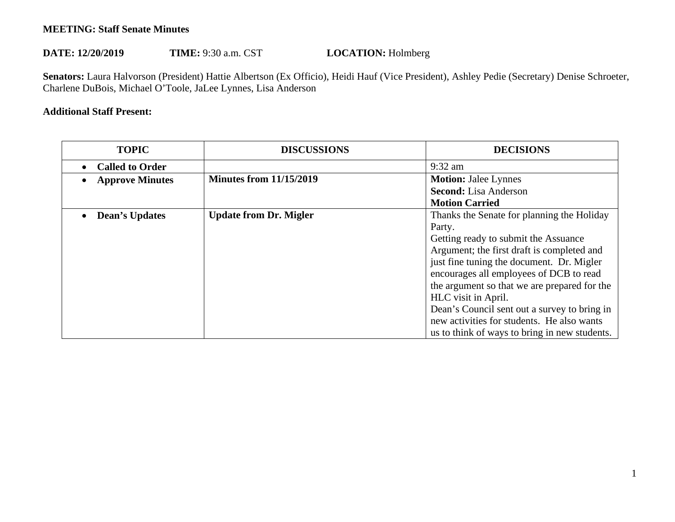## **MEETING: Staff Senate Minutes**

## DATE: 12/20/2019 TIME: 9:30 a.m. CST **LOCATION:** Holmberg

 **Senators:** Laura Halvorson (President) Hattie Albertson (Ex Officio), Heidi Hauf (Vice President), Ashley Pedie (Secretary) Denise Schroeter, Charlene DuBois, Michael O'Toole, JaLee Lynnes, Lisa Anderson

## **Additional Staff Present:**

| <b>TOPIC</b>           | <b>DISCUSSIONS</b>             | <b>DECISIONS</b>                              |
|------------------------|--------------------------------|-----------------------------------------------|
| <b>Called to Order</b> |                                | $9:32$ am                                     |
| <b>Approve Minutes</b> | <b>Minutes from 11/15/2019</b> | <b>Motion: Jalee Lynnes</b>                   |
|                        |                                | <b>Second:</b> Lisa Anderson                  |
|                        |                                | <b>Motion Carried</b>                         |
| <b>Dean's Updates</b>  | <b>Update from Dr. Migler</b>  | Thanks the Senate for planning the Holiday    |
|                        |                                | Party.                                        |
|                        |                                | Getting ready to submit the Assuance          |
|                        |                                | Argument; the first draft is completed and    |
|                        |                                | just fine tuning the document. Dr. Migler     |
|                        |                                | encourages all employees of DCB to read       |
|                        |                                | the argument so that we are prepared for the  |
|                        |                                | HLC visit in April.                           |
|                        |                                | Dean's Council sent out a survey to bring in  |
|                        |                                | new activities for students. He also wants    |
|                        |                                | us to think of ways to bring in new students. |